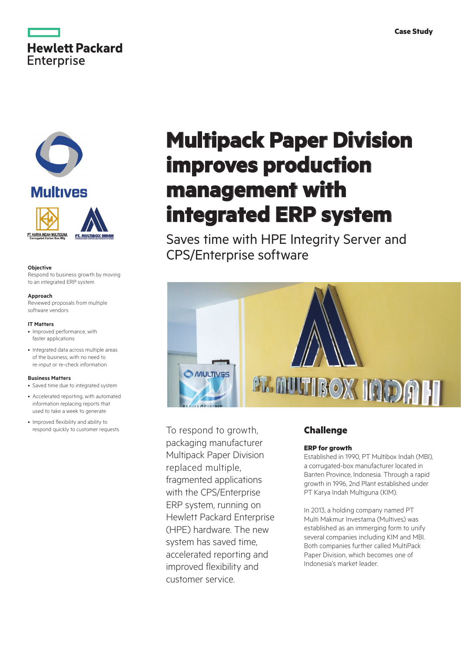





#### **Objective**

Respond to business growth by moving to an integrated ERP system

#### **Approach**

Reviewed proposals from multiple software vendors

#### **IT Matters**

- Improved performance, with faster applications
- Integrated data across multiple areas of the business, with no need to re-input or re-check information

#### **Business Matters**

- Saved time due to integrated system
- Accelerated reporting, with automated information replacing reports that used to take a week to generate
- Improved flexibility and ability to respond quickly to customer requests

# **Multipack Paper Division improves production management with integrated ERP system**

Saves time with HPE Integrity Server and CPS/Enterprise software



To respond to growth, packaging manufacturer Multipack Paper Division replaced multiple, fragmented applications with the CPS/Enterprise ERP system, running on Hewlett Packard Enterprise (HPE) hardware. The new system has saved time, accelerated reporting and improved flexibility and customer service.

## **Challenge**

#### **ERP for growth**

Established in 1990, PT Multibox Indah (MBI), a corrugated-box manufacturer located in Banten Province, Indonesia. Through a rapid growth in 1996, 2nd Plant established under PT Karya Indah Multiguna (KIM).

In 2013, a holding company named PT Multi Makmur Investama (Multives) was established as an immerging form to unify several companies including KIM and MBI. Both companies further called MultiPack Paper Division, which becomes one of Indonesia's market leader.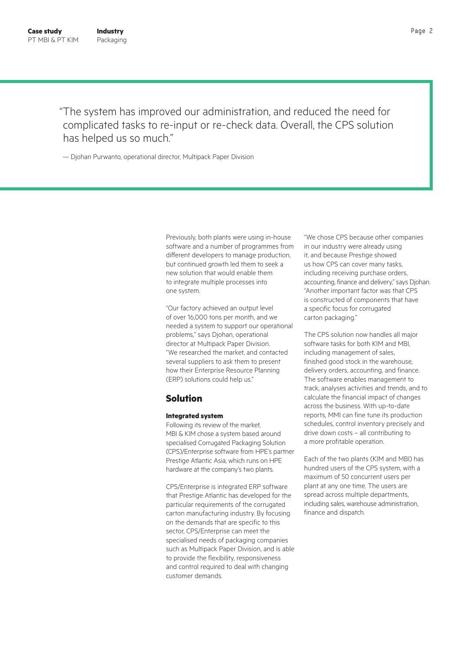"The system has improved our administration, and reduced the need for complicated tasks to re-input or re-check data. Overall, the CPS solution has helped us so much."

— Djohan Purwanto, operational director, Multipack Paper Division

Previously, both plants were using in-house software and a number of programmes from different developers to manage production, but continued growth led them to seek a new solution that would enable them to integrate multiple processes into one system.

"Our factory achieved an output level of over 16,000 tons per month, and we needed a system to support our operational problems," says Djohan, operational director at Multipack Paper Division. "We researched the market, and contacted several suppliers to ask them to present how their Enterprise Resource Planning (ERP) solutions could help us."

### **Solution**

#### **Integrated system**

Following its review of the market, MBI & KIM chose a system based around specialised Corrugated Packaging Solution (CPS)/Enterprise software from HPE's partner Prestige Atlantic Asia, which runs on HPE hardware at the company's two plants.

CPS/Enterprise is integrated ERP software that Prestige Atlantic has developed for the particular requirements of the corrugated carton manufacturing industry. By focusing on the demands that are specific to this sector, CPS/Enterprise can meet the specialised needs of packaging companies such as Multipack Paper Division, and is able to provide the flexibility, responsiveness and control required to deal with changing customer demands.

"We chose CPS because other companies in our industry were already using it, and because Prestige showed us how CPS can cover many tasks, including receiving purchase orders, accounting, finance and delivery," says Djohan. "Another important factor was that CPS is constructed of components that have a specific focus for corrugated carton packaging."

The CPS solution now handles all major software tasks for both KIM and MBI, including management of sales, finished good stock in the warehouse, delivery orders, accounting, and finance. The software enables management to track, analyses activities and trends, and to calculate the financial impact of changes across the business. With up-to-date reports, MMI can fine tune its production schedules, control inventory precisely and drive down costs – all contributing to a more profitable operation.

Each of the two plants (KIM and MBI) has hundred users of the CPS system, with a maximum of 50 concurrent users per plant at any one time. The users are spread across multiple departments, including sales, warehouse administration, finance and dispatch.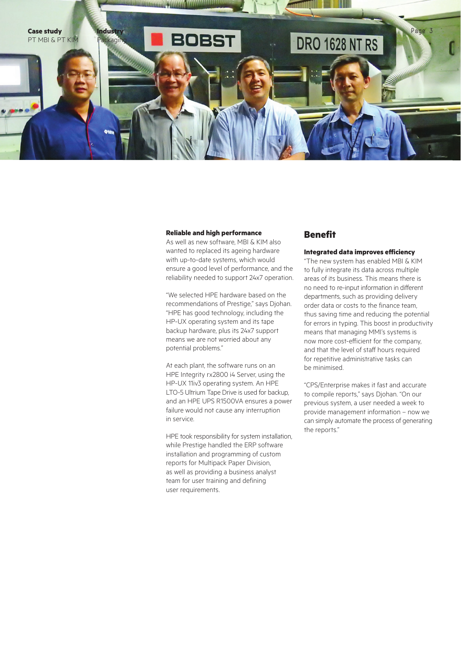

#### **Reliable and high performance**

As well as new software, MBI & KIM also wanted to replaced its ageing hardware with up-to-date systems, which would ensure a good level of performance, and the reliability needed to support 24x7 operation.

"We selected HPE hardware based on the recommendations of Prestige," says Djohan. "HPE has good technology, including the HP-UX operating system and its tape backup hardware, plus its 24x7 support means we are not worried about any potential problems."

At each plant, the software runs on an HPE Integrity rx2800 i4 Server, using the HP-UX 11iv3 operating system. An HPE LTO-5 Ultrium Tape Drive is used for backup, and an HPE UPS R1500VA ensures a power failure would not cause any interruption in service.

HPE took responsibility for system installation, while Prestige handled the ERP software installation and programming of custom reports for Multipack Paper Division, as well as providing a business analyst team for user training and defining user requirements.

# **Benefit**

#### **Integrated data improves efficiency**

"The new system has enabled MBI & KIM to fully integrate its data across multiple areas of its business. This means there is no need to re-input information in different departments, such as providing delivery order data or costs to the finance team, thus saving time and reducing the potential for errors in typing. This boost in productivity means that managing MMI's systems is now more cost-efficient for the company, and that the level of staff hours required for repetitive administrative tasks can be minimised.

"CPS/Enterprise makes it fast and accurate to compile reports," says Djohan. "On our previous system, a user needed a week to provide management information – now we can simply automate the process of generating the reports."